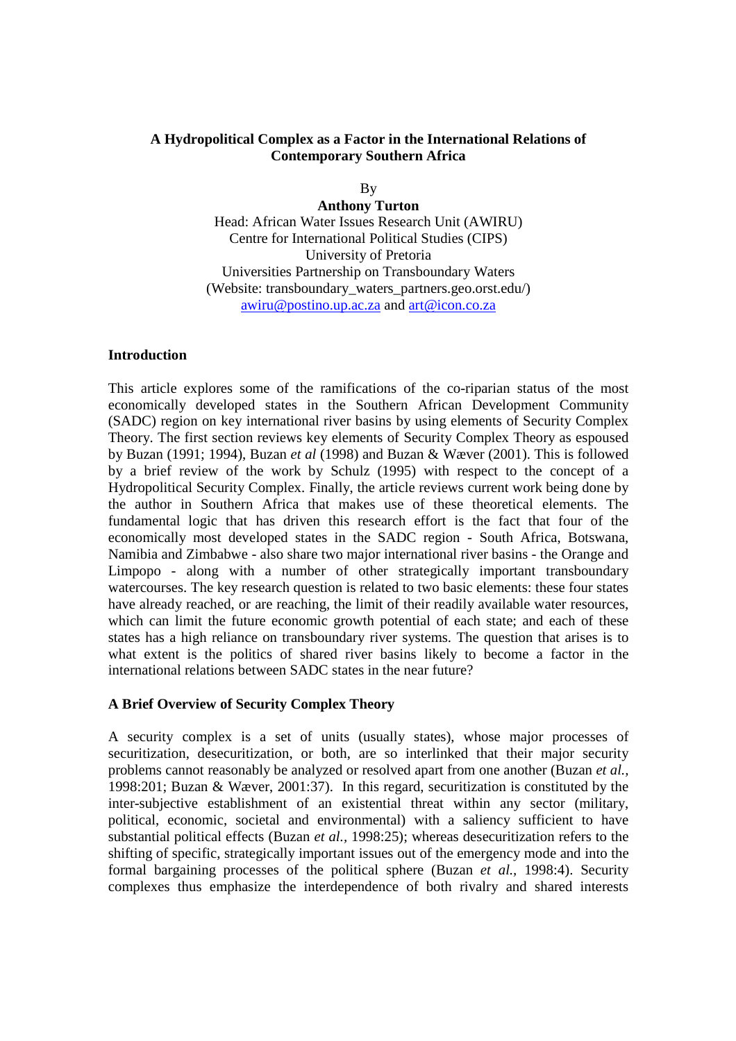### **A Hydropolitical Complex as a Factor in the International Relations of Contemporary Southern Africa**

By

**Anthony Turton**  Head: African Water Issues Research Unit (AWIRU) Centre for International Political Studies (CIPS) University of Pretoria Universities Partnership on Transboundary Waters (Website: transboundary\_waters\_partners.geo.orst.edu/)

awiru@postino.up.ac.za and art@icon.co.za

### **Introduction**

This article explores some of the ramifications of the co-riparian status of the most economically developed states in the Southern African Development Community (SADC) region on key international river basins by using elements of Security Complex Theory. The first section reviews key elements of Security Complex Theory as espoused by Buzan (1991; 1994), Buzan *et al* (1998) and Buzan & Wæver (2001). This is followed by a brief review of the work by Schulz (1995) with respect to the concept of a Hydropolitical Security Complex. Finally, the article reviews current work being done by the author in Southern Africa that makes use of these theoretical elements. The fundamental logic that has driven this research effort is the fact that four of the economically most developed states in the SADC region - South Africa, Botswana, Namibia and Zimbabwe - also share two major international river basins - the Orange and Limpopo - along with a number of other strategically important transboundary watercourses. The key research question is related to two basic elements: these four states have already reached, or are reaching, the limit of their readily available water resources, which can limit the future economic growth potential of each state; and each of these states has a high reliance on transboundary river systems. The question that arises is to what extent is the politics of shared river basins likely to become a factor in the international relations between SADC states in the near future?

# **A Brief Overview of Security Complex Theory**

A security complex is a set of units (usually states), whose major processes of securitization, desecuritization, or both, are so interlinked that their major security problems cannot reasonably be analyzed or resolved apart from one another (Buzan *et al.,* 1998:201; Buzan & Wæver, 2001:37). In this regard, securitization is constituted by the inter-subjective establishment of an existential threat within any sector (military, political, economic, societal and environmental) with a saliency sufficient to have substantial political effects (Buzan *et al.,* 1998:25); whereas desecuritization refers to the shifting of specific, strategically important issues out of the emergency mode and into the formal bargaining processes of the political sphere (Buzan *et al.,* 1998:4). Security complexes thus emphasize the interdependence of both rivalry and shared interests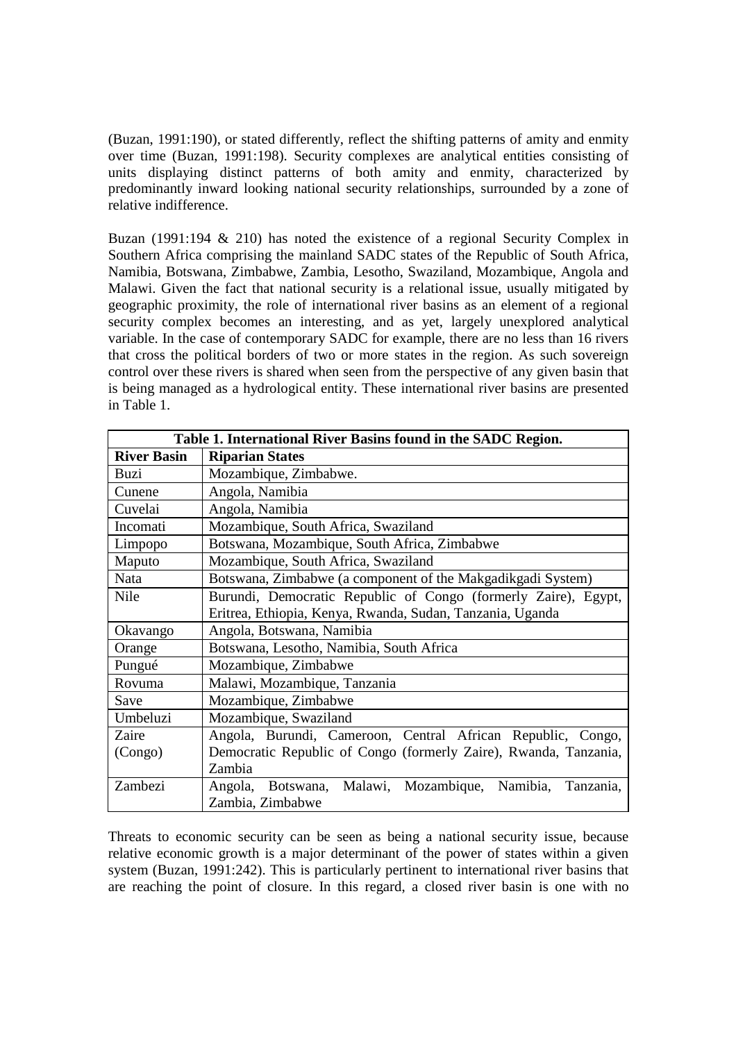(Buzan, 1991:190), or stated differently, reflect the shifting patterns of amity and enmity over time (Buzan, 1991:198). Security complexes are analytical entities consisting of units displaying distinct patterns of both amity and enmity, characterized by predominantly inward looking national security relationships, surrounded by a zone of relative indifference.

Buzan (1991:194 & 210) has noted the existence of a regional Security Complex in Southern Africa comprising the mainland SADC states of the Republic of South Africa, Namibia, Botswana, Zimbabwe, Zambia, Lesotho, Swaziland, Mozambique, Angola and Malawi. Given the fact that national security is a relational issue, usually mitigated by geographic proximity, the role of international river basins as an element of a regional security complex becomes an interesting, and as yet, largely unexplored analytical variable. In the case of contemporary SADC for example, there are no less than 16 rivers that cross the political borders of two or more states in the region. As such sovereign control over these rivers is shared when seen from the perspective of any given basin that is being managed as a hydrological entity. These international river basins are presented in Table 1.

| Table 1. International River Basins found in the SADC Region. |                                                                      |
|---------------------------------------------------------------|----------------------------------------------------------------------|
| <b>River Basin</b>                                            | <b>Riparian States</b>                                               |
| Buzi                                                          | Mozambique, Zimbabwe.                                                |
| Cunene                                                        | Angola, Namibia                                                      |
| Cuvelai                                                       | Angola, Namibia                                                      |
| Incomati                                                      | Mozambique, South Africa, Swaziland                                  |
| Limpopo                                                       | Botswana, Mozambique, South Africa, Zimbabwe                         |
| Maputo                                                        | Mozambique, South Africa, Swaziland                                  |
| Nata                                                          | Botswana, Zimbabwe (a component of the Makgadikgadi System)          |
| Nile                                                          | Burundi, Democratic Republic of Congo (formerly Zaire), Egypt,       |
|                                                               | Eritrea, Ethiopia, Kenya, Rwanda, Sudan, Tanzania, Uganda            |
| Okavango                                                      | Angola, Botswana, Namibia                                            |
| Orange                                                        | Botswana, Lesotho, Namibia, South Africa                             |
| Pungué                                                        | Mozambique, Zimbabwe                                                 |
| Rovuma                                                        | Malawi, Mozambique, Tanzania                                         |
| Save                                                          | Mozambique, Zimbabwe                                                 |
| Umbeluzi                                                      | Mozambique, Swaziland                                                |
| Zaire                                                         | Angola, Burundi, Cameroon, Central African Republic, Congo,          |
| (Congo)                                                       | Democratic Republic of Congo (formerly Zaire), Rwanda, Tanzania,     |
|                                                               | Zambia                                                               |
| Zambezi                                                       | Mozambique,<br>Namibia,<br>Angola, Botswana,<br>Malawi,<br>Tanzania, |
|                                                               | Zambia, Zimbabwe                                                     |

Threats to economic security can be seen as being a national security issue, because relative economic growth is a major determinant of the power of states within a given system (Buzan, 1991:242). This is particularly pertinent to international river basins that are reaching the point of closure. In this regard, a closed river basin is one with no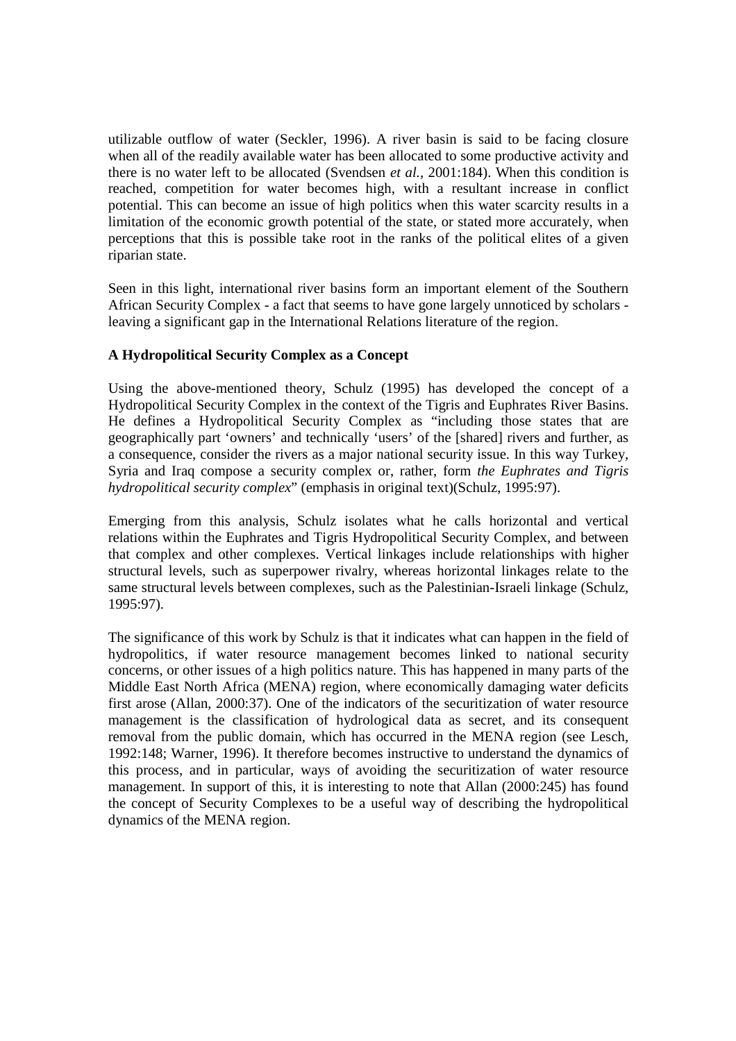utilizable outflow of water (Seckler, 1996). A river basin is said to be facing closure when all of the readily available water has been allocated to some productive activity and there is no water left to be allocated (Svendsen *et al.,* 2001:184). When this condition is reached, competition for water becomes high, with a resultant increase in conflict potential. This can become an issue of high politics when this water scarcity results in a limitation of the economic growth potential of the state, or stated more accurately, when perceptions that this is possible take root in the ranks of the political elites of a given riparian state.

Seen in this light, international river basins form an important element of the Southern African Security Complex - a fact that seems to have gone largely unnoticed by scholars leaving a significant gap in the International Relations literature of the region.

# **A Hydropolitical Security Complex as a Concept**

Using the above-mentioned theory, Schulz (1995) has developed the concept of a Hydropolitical Security Complex in the context of the Tigris and Euphrates River Basins. He defines a Hydropolitical Security Complex as "including those states that are geographically part 'owners' and technically 'users' of the [shared] rivers and further, as a consequence, consider the rivers as a major national security issue. In this way Turkey, Syria and Iraq compose a security complex or, rather, form *the Euphrates and Tigris hydropolitical security complex*" (emphasis in original text)(Schulz, 1995:97).

Emerging from this analysis, Schulz isolates what he calls horizontal and vertical relations within the Euphrates and Tigris Hydropolitical Security Complex, and between that complex and other complexes. Vertical linkages include relationships with higher structural levels, such as superpower rivalry, whereas horizontal linkages relate to the same structural levels between complexes, such as the Palestinian-Israeli linkage (Schulz, 1995:97).

The significance of this work by Schulz is that it indicates what can happen in the field of hydropolitics, if water resource management becomes linked to national security concerns, or other issues of a high politics nature. This has happened in many parts of the Middle East North Africa (MENA) region, where economically damaging water deficits first arose (Allan, 2000:37). One of the indicators of the securitization of water resource management is the classification of hydrological data as secret, and its consequent removal from the public domain, which has occurred in the MENA region (see Lesch, 1992:148; Warner, 1996). It therefore becomes instructive to understand the dynamics of this process, and in particular, ways of avoiding the securitization of water resource management. In support of this, it is interesting to note that Allan (2000:245) has found the concept of Security Complexes to be a useful way of describing the hydropolitical dynamics of the MENA region.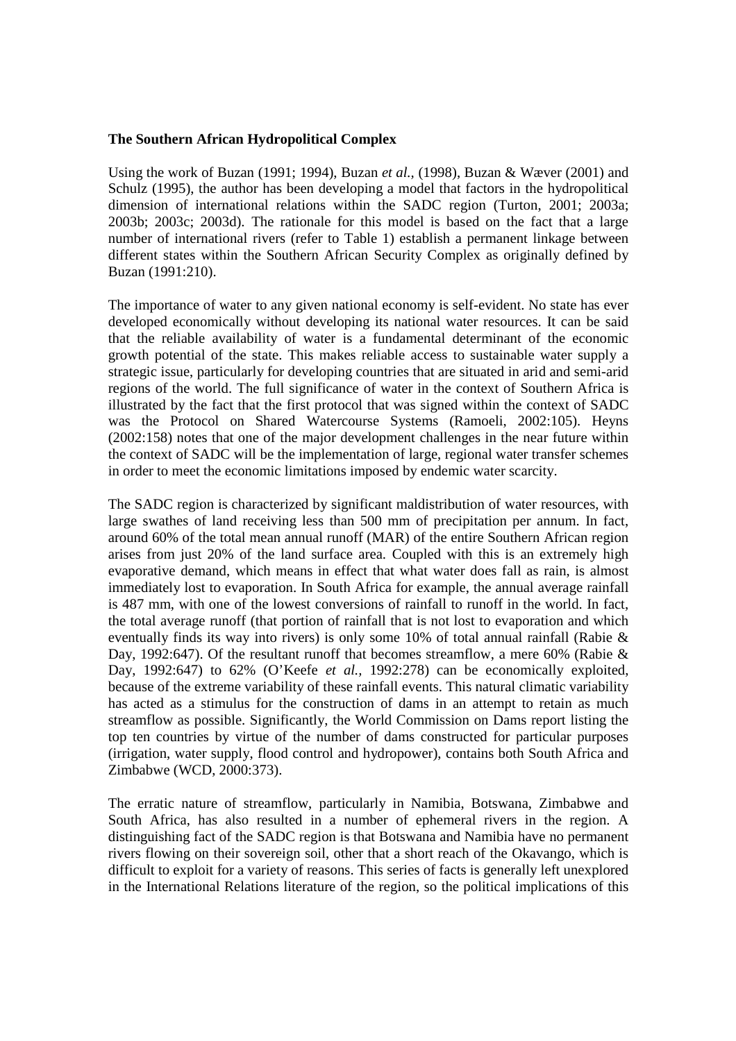#### **The Southern African Hydropolitical Complex**

Using the work of Buzan (1991; 1994), Buzan *et al.,* (1998), Buzan & Wæver (2001) and Schulz (1995), the author has been developing a model that factors in the hydropolitical dimension of international relations within the SADC region (Turton, 2001; 2003a; 2003b; 2003c; 2003d). The rationale for this model is based on the fact that a large number of international rivers (refer to Table 1) establish a permanent linkage between different states within the Southern African Security Complex as originally defined by Buzan (1991:210).

The importance of water to any given national economy is self-evident. No state has ever developed economically without developing its national water resources. It can be said that the reliable availability of water is a fundamental determinant of the economic growth potential of the state. This makes reliable access to sustainable water supply a strategic issue, particularly for developing countries that are situated in arid and semi-arid regions of the world. The full significance of water in the context of Southern Africa is illustrated by the fact that the first protocol that was signed within the context of SADC was the Protocol on Shared Watercourse Systems (Ramoeli, 2002:105). Heyns (2002:158) notes that one of the major development challenges in the near future within the context of SADC will be the implementation of large, regional water transfer schemes in order to meet the economic limitations imposed by endemic water scarcity.

The SADC region is characterized by significant maldistribution of water resources, with large swathes of land receiving less than 500 mm of precipitation per annum. In fact, around 60% of the total mean annual runoff (MAR) of the entire Southern African region arises from just 20% of the land surface area. Coupled with this is an extremely high evaporative demand, which means in effect that what water does fall as rain, is almost immediately lost to evaporation. In South Africa for example, the annual average rainfall is 487 mm, with one of the lowest conversions of rainfall to runoff in the world. In fact, the total average runoff (that portion of rainfall that is not lost to evaporation and which eventually finds its way into rivers) is only some 10% of total annual rainfall (Rabie & Day, 1992:647). Of the resultant runoff that becomes streamflow, a mere 60% (Rabie & Day, 1992:647) to 62% (O'Keefe *et al.,* 1992:278) can be economically exploited, because of the extreme variability of these rainfall events. This natural climatic variability has acted as a stimulus for the construction of dams in an attempt to retain as much streamflow as possible. Significantly, the World Commission on Dams report listing the top ten countries by virtue of the number of dams constructed for particular purposes (irrigation, water supply, flood control and hydropower), contains both South Africa and Zimbabwe (WCD, 2000:373).

The erratic nature of streamflow, particularly in Namibia, Botswana, Zimbabwe and South Africa, has also resulted in a number of ephemeral rivers in the region. A distinguishing fact of the SADC region is that Botswana and Namibia have no permanent rivers flowing on their sovereign soil, other that a short reach of the Okavango, which is difficult to exploit for a variety of reasons. This series of facts is generally left unexplored in the International Relations literature of the region, so the political implications of this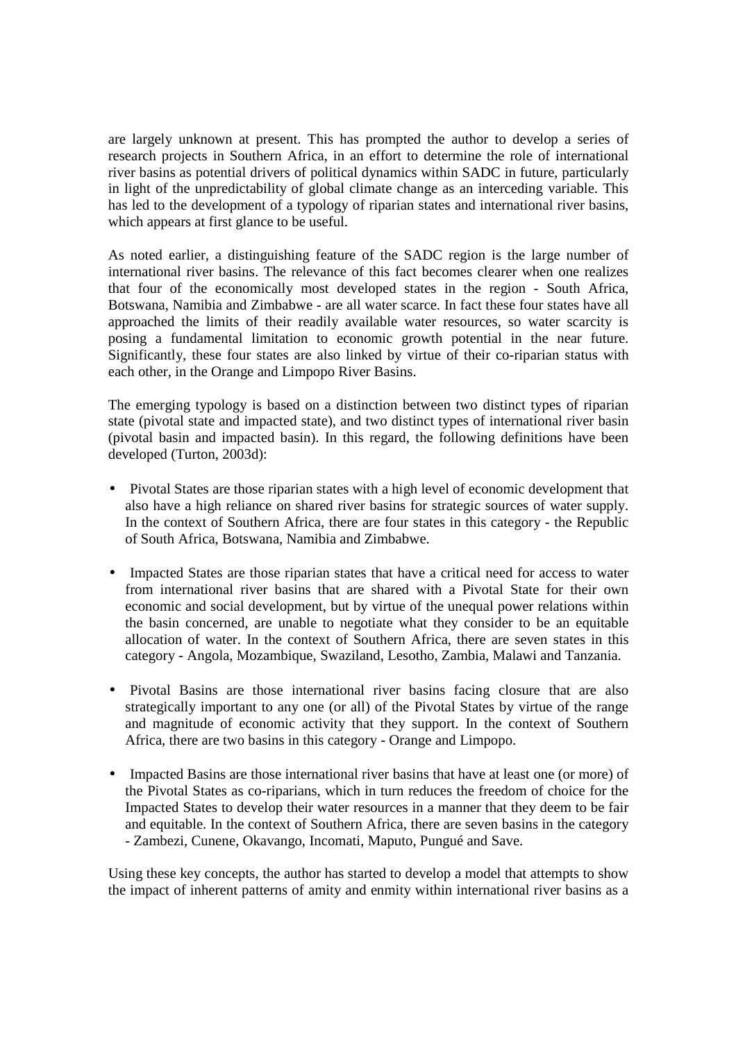are largely unknown at present. This has prompted the author to develop a series of research projects in Southern Africa, in an effort to determine the role of international river basins as potential drivers of political dynamics within SADC in future, particularly in light of the unpredictability of global climate change as an interceding variable. This has led to the development of a typology of riparian states and international river basins, which appears at first glance to be useful.

As noted earlier, a distinguishing feature of the SADC region is the large number of international river basins. The relevance of this fact becomes clearer when one realizes that four of the economically most developed states in the region - South Africa, Botswana, Namibia and Zimbabwe - are all water scarce. In fact these four states have all approached the limits of their readily available water resources, so water scarcity is posing a fundamental limitation to economic growth potential in the near future. Significantly, these four states are also linked by virtue of their co-riparian status with each other, in the Orange and Limpopo River Basins.

The emerging typology is based on a distinction between two distinct types of riparian state (pivotal state and impacted state), and two distinct types of international river basin (pivotal basin and impacted basin). In this regard, the following definitions have been developed (Turton, 2003d):

- Pivotal States are those riparian states with a high level of economic development that also have a high reliance on shared river basins for strategic sources of water supply. In the context of Southern Africa, there are four states in this category - the Republic of South Africa, Botswana, Namibia and Zimbabwe.
- Impacted States are those riparian states that have a critical need for access to water from international river basins that are shared with a Pivotal State for their own economic and social development, but by virtue of the unequal power relations within the basin concerned, are unable to negotiate what they consider to be an equitable allocation of water. In the context of Southern Africa, there are seven states in this category - Angola, Mozambique, Swaziland, Lesotho, Zambia, Malawi and Tanzania.
- Pivotal Basins are those international river basins facing closure that are also strategically important to any one (or all) of the Pivotal States by virtue of the range and magnitude of economic activity that they support. In the context of Southern Africa, there are two basins in this category - Orange and Limpopo.
- Impacted Basins are those international river basins that have at least one (or more) of the Pivotal States as co-riparians, which in turn reduces the freedom of choice for the Impacted States to develop their water resources in a manner that they deem to be fair and equitable. In the context of Southern Africa, there are seven basins in the category - Zambezi, Cunene, Okavango, Incomati, Maputo, Pungué and Save.

Using these key concepts, the author has started to develop a model that attempts to show the impact of inherent patterns of amity and enmity within international river basins as a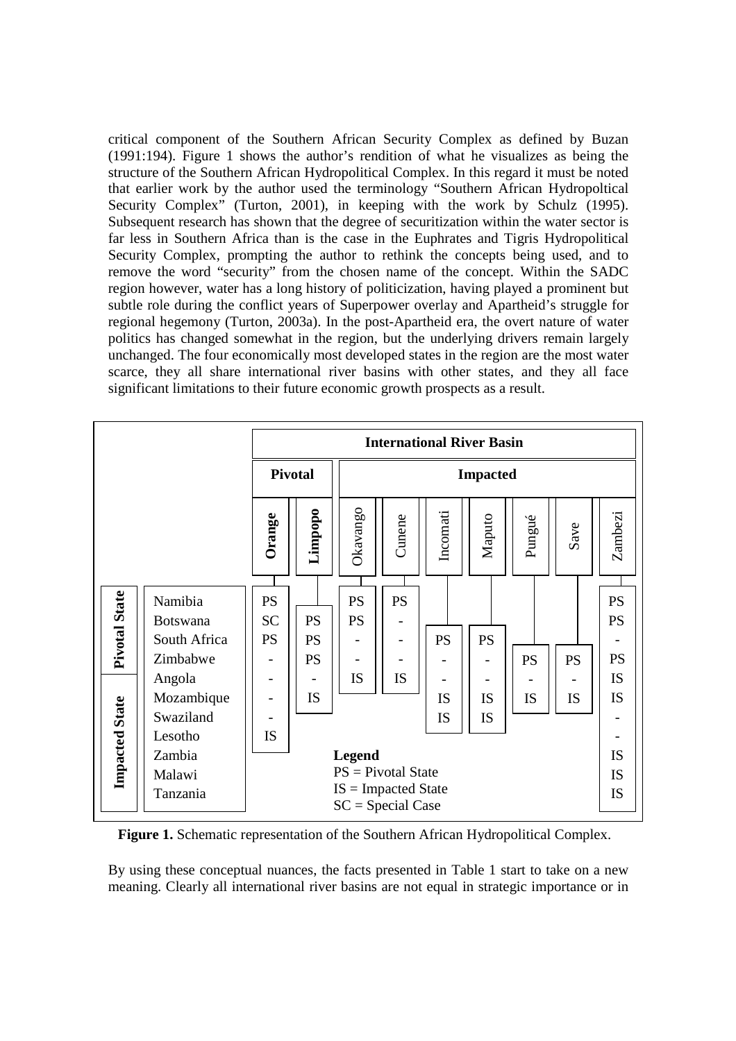critical component of the Southern African Security Complex as defined by Buzan (1991:194). Figure 1 shows the author's rendition of what he visualizes as being the structure of the Southern African Hydropolitical Complex. In this regard it must be noted that earlier work by the author used the terminology "Southern African Hydropoltical Security Complex" (Turton, 2001), in keeping with the work by Schulz (1995). Subsequent research has shown that the degree of securitization within the water sector is far less in Southern Africa than is the case in the Euphrates and Tigris Hydropolitical Security Complex, prompting the author to rethink the concepts being used, and to remove the word "security" from the chosen name of the concept. Within the SADC region however, water has a long history of politicization, having played a prominent but subtle role during the conflict years of Superpower overlay and Apartheid's struggle for regional hegemony (Turton, 2003a). In the post-Apartheid era, the overt nature of water politics has changed somewhat in the region, but the underlying drivers remain largely unchanged. The four economically most developed states in the region are the most water scarce, they all share international river basins with other states, and they all face significant limitations to their future economic growth prospects as a result.



**Figure 1.** Schematic representation of the Southern African Hydropolitical Complex.

By using these conceptual nuances, the facts presented in Table 1 start to take on a new meaning. Clearly all international river basins are not equal in strategic importance or in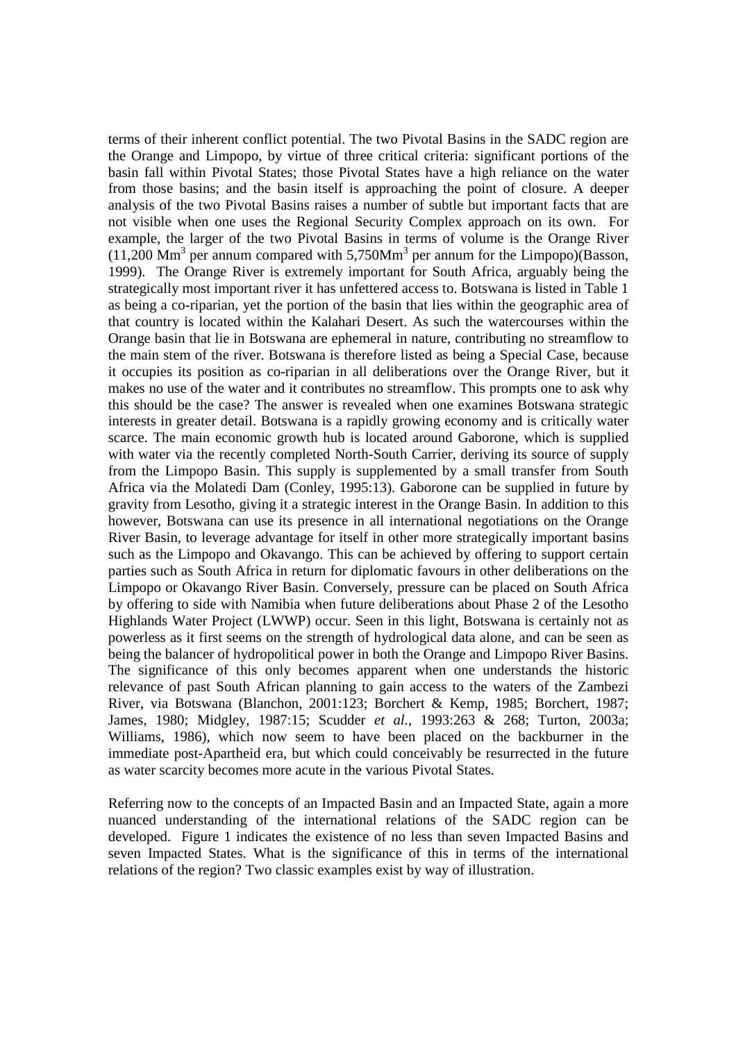terms of their inherent conflict potential. The two Pivotal Basins in the SADC region are the Orange and Limpopo, by virtue of three critical criteria: significant portions of the basin fall within Pivotal States; those Pivotal States have a high reliance on the water from those basins; and the basin itself is approaching the point of closure. A deeper analysis of the two Pivotal Basins raises a number of subtle but important facts that are not visible when one uses the Regional Security Complex approach on its own. For example, the larger of the two Pivotal Basins in terms of volume is the Orange River  $(11,200 \text{ Mm}^3 \text{ per annum compared with } 5,750 \text{ Mm}^3 \text{ per annum for the Limpopo})(Basson,$ 1999). The Orange River is extremely important for South Africa, arguably being the strategically most important river it has unfettered access to. Botswana is listed in Table 1 as being a co-riparian, yet the portion of the basin that lies within the geographic area of that country is located within the Kalahari Desert. As such the watercourses within the Orange basin that lie in Botswana are ephemeral in nature, contributing no streamflow to the main stem of the river. Botswana is therefore listed as being a Special Case, because it occupies its position as co-riparian in all deliberations over the Orange River, but it makes no use of the water and it contributes no streamflow. This prompts one to ask why this should be the case? The answer is revealed when one examines Botswana strategic interests in greater detail. Botswana is a rapidly growing economy and is critically water scarce. The main economic growth hub is located around Gaborone, which is supplied with water via the recently completed North-South Carrier, deriving its source of supply from the Limpopo Basin. This supply is supplemented by a small transfer from South Africa via the Molatedi Dam (Conley, 1995:13). Gaborone can be supplied in future by gravity from Lesotho, giving it a strategic interest in the Orange Basin. In addition to this however, Botswana can use its presence in all international negotiations on the Orange River Basin, to leverage advantage for itself in other more strategically important basins such as the Limpopo and Okavango. This can be achieved by offering to support certain parties such as South Africa in return for diplomatic favours in other deliberations on the Limpopo or Okavango River Basin. Conversely, pressure can be placed on South Africa by offering to side with Namibia when future deliberations about Phase 2 of the Lesotho Highlands Water Project (LWWP) occur. Seen in this light, Botswana is certainly not as powerless as it first seems on the strength of hydrological data alone, and can be seen as being the balancer of hydropolitical power in both the Orange and Limpopo River Basins. The significance of this only becomes apparent when one understands the historic relevance of past South African planning to gain access to the waters of the Zambezi River, via Botswana (Blanchon, 2001:123; Borchert & Kemp, 1985; Borchert, 1987; James, 1980; Midgley, 1987:15; Scudder *et al.,* 1993:263 & 268; Turton, 2003a; Williams, 1986), which now seem to have been placed on the backburner in the immediate post-Apartheid era, but which could conceivably be resurrected in the future as water scarcity becomes more acute in the various Pivotal States.

Referring now to the concepts of an Impacted Basin and an Impacted State, again a more nuanced understanding of the international relations of the SADC region can be developed. Figure 1 indicates the existence of no less than seven Impacted Basins and seven Impacted States. What is the significance of this in terms of the international relations of the region? Two classic examples exist by way of illustration.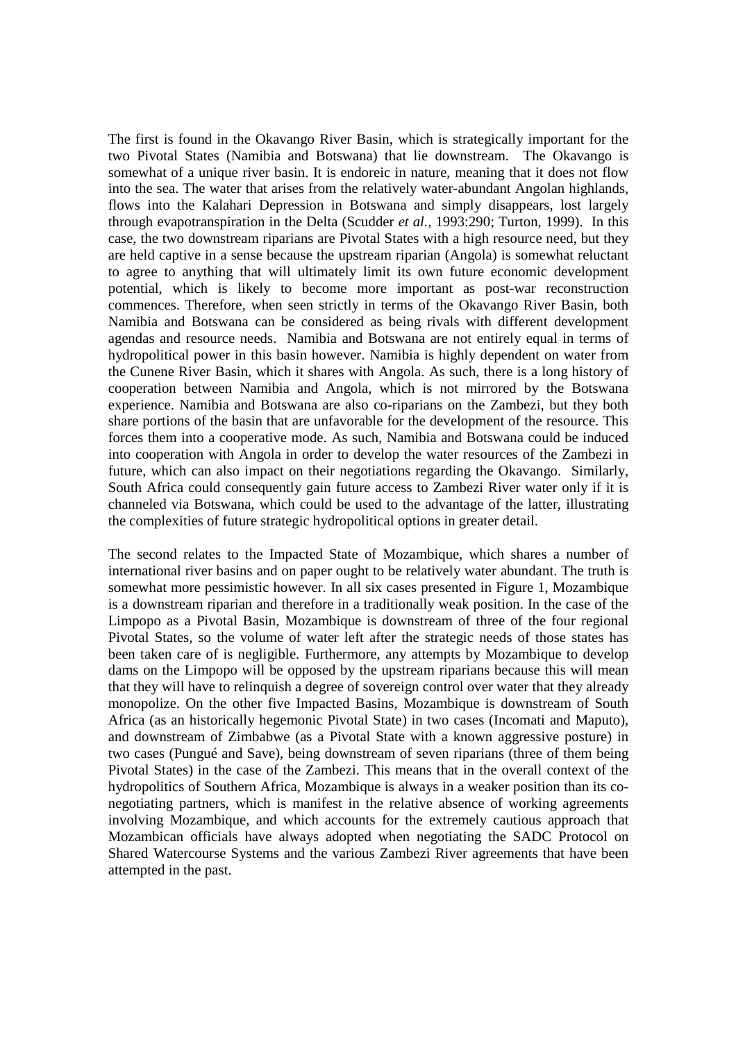The first is found in the Okavango River Basin, which is strategically important for the two Pivotal States (Namibia and Botswana) that lie downstream. The Okavango is somewhat of a unique river basin. It is endoreic in nature, meaning that it does not flow into the sea. The water that arises from the relatively water-abundant Angolan highlands, flows into the Kalahari Depression in Botswana and simply disappears, lost largely through evapotranspiration in the Delta (Scudder *et al.,* 1993:290; Turton, 1999). In this case, the two downstream riparians are Pivotal States with a high resource need, but they are held captive in a sense because the upstream riparian (Angola) is somewhat reluctant to agree to anything that will ultimately limit its own future economic development potential, which is likely to become more important as post-war reconstruction commences. Therefore, when seen strictly in terms of the Okavango River Basin, both Namibia and Botswana can be considered as being rivals with different development agendas and resource needs. Namibia and Botswana are not entirely equal in terms of hydropolitical power in this basin however. Namibia is highly dependent on water from the Cunene River Basin, which it shares with Angola. As such, there is a long history of cooperation between Namibia and Angola, which is not mirrored by the Botswana experience. Namibia and Botswana are also co-riparians on the Zambezi, but they both share portions of the basin that are unfavorable for the development of the resource. This forces them into a cooperative mode. As such, Namibia and Botswana could be induced into cooperation with Angola in order to develop the water resources of the Zambezi in future, which can also impact on their negotiations regarding the Okavango. Similarly, South Africa could consequently gain future access to Zambezi River water only if it is channeled via Botswana, which could be used to the advantage of the latter, illustrating the complexities of future strategic hydropolitical options in greater detail.

The second relates to the Impacted State of Mozambique, which shares a number of international river basins and on paper ought to be relatively water abundant. The truth is somewhat more pessimistic however. In all six cases presented in Figure 1, Mozambique is a downstream riparian and therefore in a traditionally weak position. In the case of the Limpopo as a Pivotal Basin, Mozambique is downstream of three of the four regional Pivotal States, so the volume of water left after the strategic needs of those states has been taken care of is negligible. Furthermore, any attempts by Mozambique to develop dams on the Limpopo will be opposed by the upstream riparians because this will mean that they will have to relinquish a degree of sovereign control over water that they already monopolize. On the other five Impacted Basins, Mozambique is downstream of South Africa (as an historically hegemonic Pivotal State) in two cases (Incomati and Maputo), and downstream of Zimbabwe (as a Pivotal State with a known aggressive posture) in two cases (Pungué and Save), being downstream of seven riparians (three of them being Pivotal States) in the case of the Zambezi. This means that in the overall context of the hydropolitics of Southern Africa, Mozambique is always in a weaker position than its conegotiating partners, which is manifest in the relative absence of working agreements involving Mozambique, and which accounts for the extremely cautious approach that Mozambican officials have always adopted when negotiating the SADC Protocol on Shared Watercourse Systems and the various Zambezi River agreements that have been attempted in the past.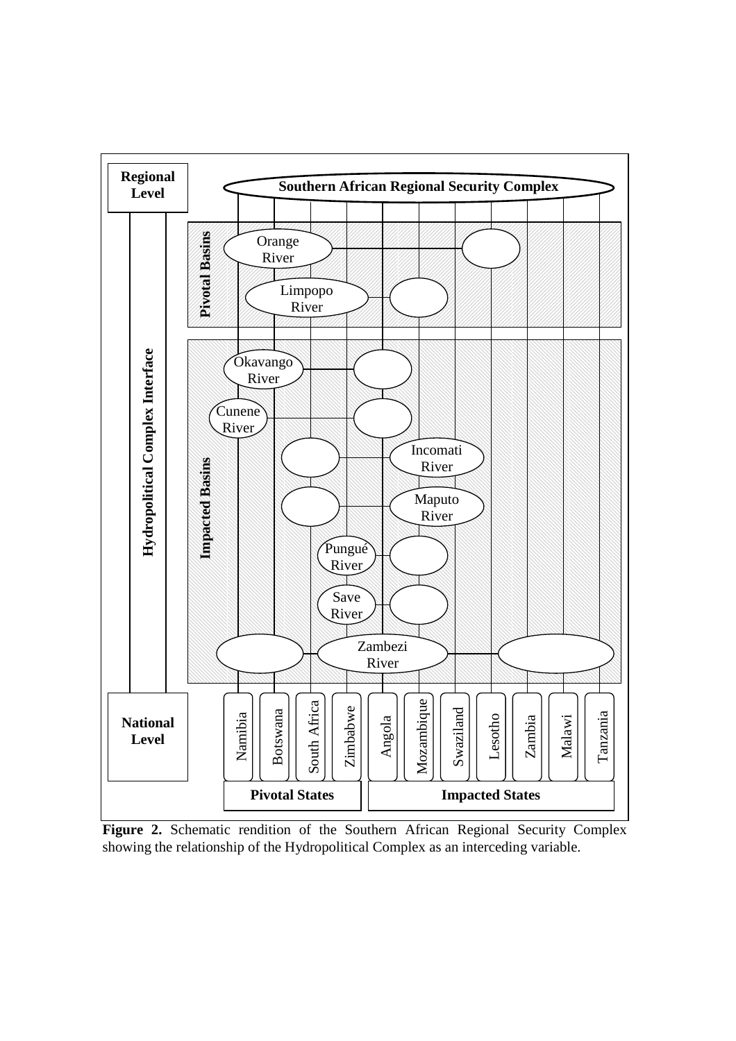

**Figure 2.** Schematic rendition of the Southern African Regional Security Complex showing the relationship of the Hydropolitical Complex as an interceding variable.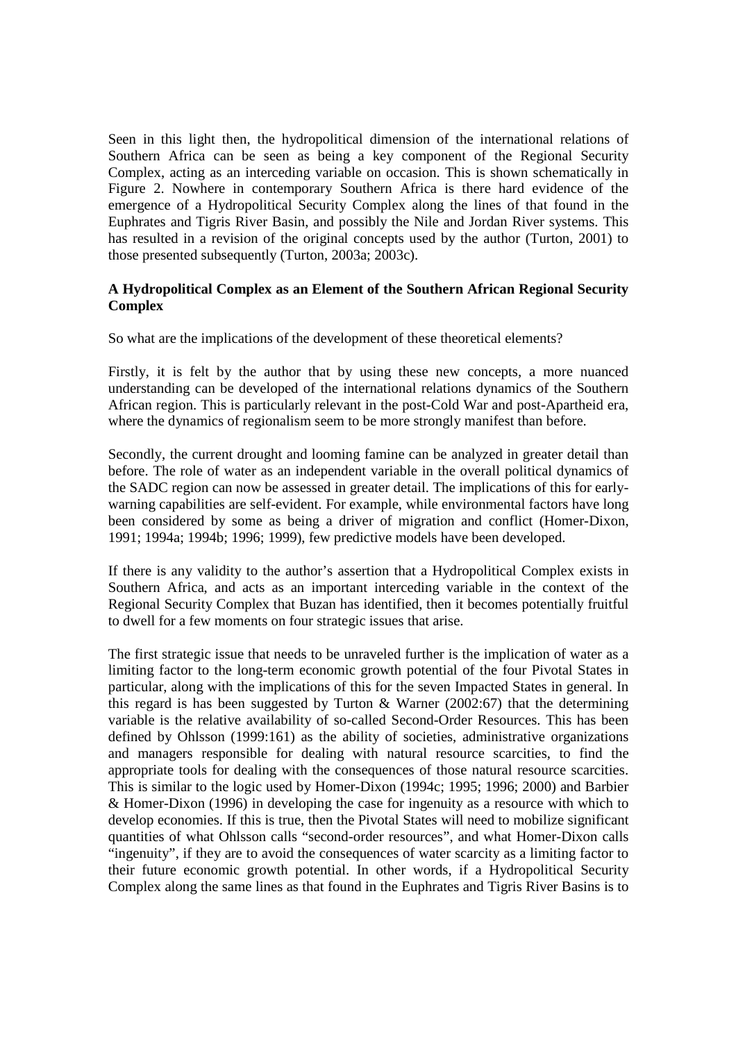Seen in this light then, the hydropolitical dimension of the international relations of Southern Africa can be seen as being a key component of the Regional Security Complex, acting as an interceding variable on occasion. This is shown schematically in Figure 2. Nowhere in contemporary Southern Africa is there hard evidence of the emergence of a Hydropolitical Security Complex along the lines of that found in the Euphrates and Tigris River Basin, and possibly the Nile and Jordan River systems. This has resulted in a revision of the original concepts used by the author (Turton, 2001) to those presented subsequently (Turton, 2003a; 2003c).

# **A Hydropolitical Complex as an Element of the Southern African Regional Security Complex**

So what are the implications of the development of these theoretical elements?

Firstly, it is felt by the author that by using these new concepts, a more nuanced understanding can be developed of the international relations dynamics of the Southern African region. This is particularly relevant in the post-Cold War and post-Apartheid era, where the dynamics of regionalism seem to be more strongly manifest than before.

Secondly, the current drought and looming famine can be analyzed in greater detail than before. The role of water as an independent variable in the overall political dynamics of the SADC region can now be assessed in greater detail. The implications of this for earlywarning capabilities are self-evident. For example, while environmental factors have long been considered by some as being a driver of migration and conflict (Homer-Dixon, 1991; 1994a; 1994b; 1996; 1999), few predictive models have been developed.

If there is any validity to the author's assertion that a Hydropolitical Complex exists in Southern Africa, and acts as an important interceding variable in the context of the Regional Security Complex that Buzan has identified, then it becomes potentially fruitful to dwell for a few moments on four strategic issues that arise.

The first strategic issue that needs to be unraveled further is the implication of water as a limiting factor to the long-term economic growth potential of the four Pivotal States in particular, along with the implications of this for the seven Impacted States in general. In this regard is has been suggested by Turton & Warner (2002:67) that the determining variable is the relative availability of so-called Second-Order Resources. This has been defined by Ohlsson (1999:161) as the ability of societies, administrative organizations and managers responsible for dealing with natural resource scarcities, to find the appropriate tools for dealing with the consequences of those natural resource scarcities. This is similar to the logic used by Homer-Dixon (1994c; 1995; 1996; 2000) and Barbier & Homer-Dixon (1996) in developing the case for ingenuity as a resource with which to develop economies. If this is true, then the Pivotal States will need to mobilize significant quantities of what Ohlsson calls "second-order resources", and what Homer-Dixon calls "ingenuity", if they are to avoid the consequences of water scarcity as a limiting factor to their future economic growth potential. In other words, if a Hydropolitical Security Complex along the same lines as that found in the Euphrates and Tigris River Basins is to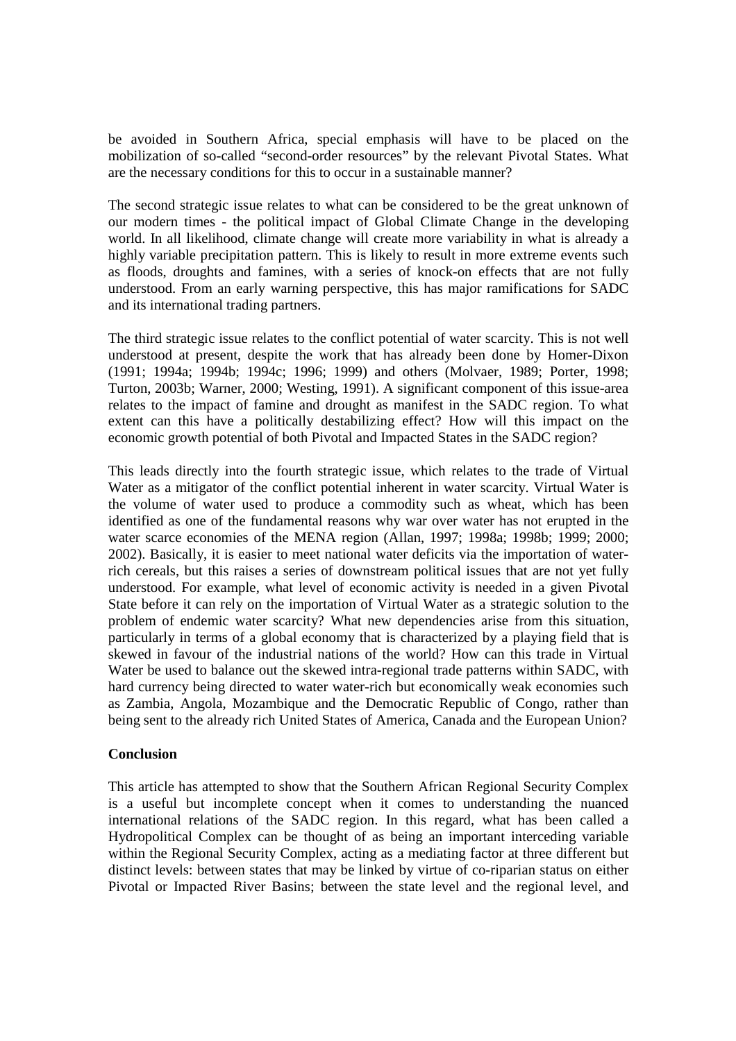be avoided in Southern Africa, special emphasis will have to be placed on the mobilization of so-called "second-order resources" by the relevant Pivotal States. What are the necessary conditions for this to occur in a sustainable manner?

The second strategic issue relates to what can be considered to be the great unknown of our modern times - the political impact of Global Climate Change in the developing world. In all likelihood, climate change will create more variability in what is already a highly variable precipitation pattern. This is likely to result in more extreme events such as floods, droughts and famines, with a series of knock-on effects that are not fully understood. From an early warning perspective, this has major ramifications for SADC and its international trading partners.

The third strategic issue relates to the conflict potential of water scarcity. This is not well understood at present, despite the work that has already been done by Homer-Dixon (1991; 1994a; 1994b; 1994c; 1996; 1999) and others (Molvaer, 1989; Porter, 1998; Turton, 2003b; Warner, 2000; Westing, 1991). A significant component of this issue-area relates to the impact of famine and drought as manifest in the SADC region. To what extent can this have a politically destabilizing effect? How will this impact on the economic growth potential of both Pivotal and Impacted States in the SADC region?

This leads directly into the fourth strategic issue, which relates to the trade of Virtual Water as a mitigator of the conflict potential inherent in water scarcity. Virtual Water is the volume of water used to produce a commodity such as wheat, which has been identified as one of the fundamental reasons why war over water has not erupted in the water scarce economies of the MENA region (Allan, 1997; 1998a; 1998b; 1999; 2000; 2002). Basically, it is easier to meet national water deficits via the importation of waterrich cereals, but this raises a series of downstream political issues that are not yet fully understood. For example, what level of economic activity is needed in a given Pivotal State before it can rely on the importation of Virtual Water as a strategic solution to the problem of endemic water scarcity? What new dependencies arise from this situation, particularly in terms of a global economy that is characterized by a playing field that is skewed in favour of the industrial nations of the world? How can this trade in Virtual Water be used to balance out the skewed intra-regional trade patterns within SADC, with hard currency being directed to water water-rich but economically weak economies such as Zambia, Angola, Mozambique and the Democratic Republic of Congo, rather than being sent to the already rich United States of America, Canada and the European Union?

# **Conclusion**

This article has attempted to show that the Southern African Regional Security Complex is a useful but incomplete concept when it comes to understanding the nuanced international relations of the SADC region. In this regard, what has been called a Hydropolitical Complex can be thought of as being an important interceding variable within the Regional Security Complex, acting as a mediating factor at three different but distinct levels: between states that may be linked by virtue of co-riparian status on either Pivotal or Impacted River Basins; between the state level and the regional level, and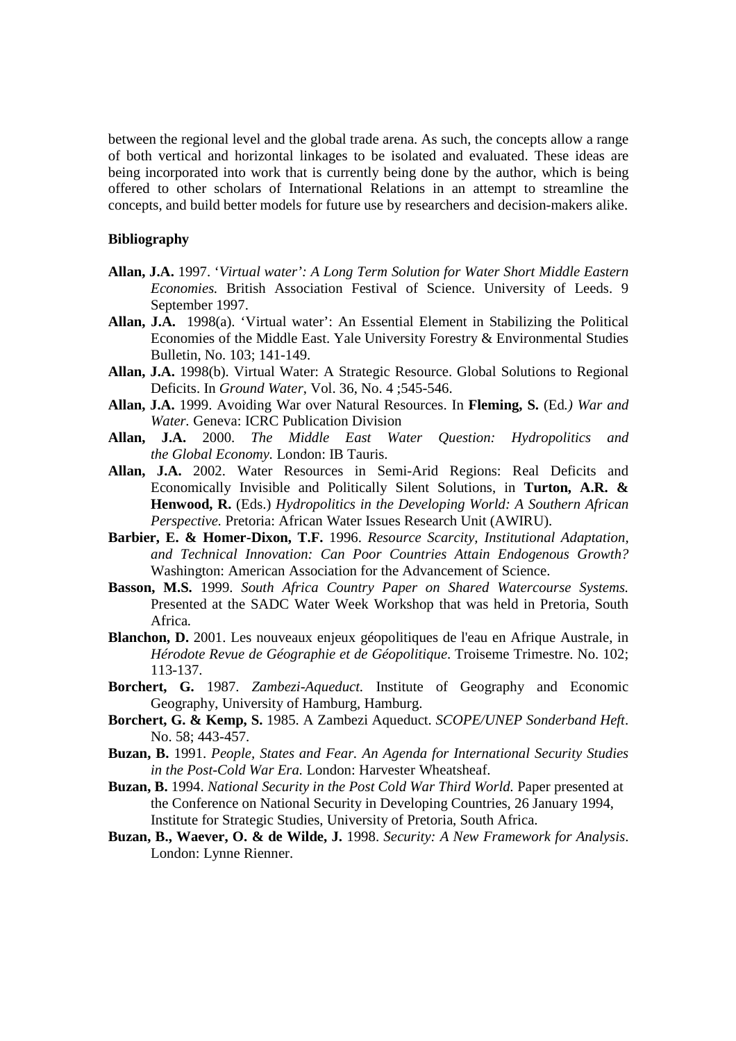between the regional level and the global trade arena. As such, the concepts allow a range of both vertical and horizontal linkages to be isolated and evaluated. These ideas are being incorporated into work that is currently being done by the author, which is being offered to other scholars of International Relations in an attempt to streamline the concepts, and build better models for future use by researchers and decision-makers alike.

### **Bibliography**

- **Allan, J.A.** 1997. '*Virtual water': A Long Term Solution for Water Short Middle Eastern Economies.* British Association Festival of Science. University of Leeds. 9 September 1997.
- **Allan, J.A.** 1998(a). 'Virtual water': An Essential Element in Stabilizing the Political Economies of the Middle East. Yale University Forestry & Environmental Studies Bulletin, No. 103; 141-149.
- **Allan, J.A.** 1998(b). Virtual Water: A Strategic Resource. Global Solutions to Regional Deficits. In *Ground Water*, Vol. 36, No. 4 ;545-546.
- **Allan, J.A.** 1999. Avoiding War over Natural Resources. In **Fleming, S.** (Ed*.) War and Water.* Geneva: ICRC Publication Division
- **Allan, J.A.** 2000. *The Middle East Water Question: Hydropolitics and the Global Economy.* London: IB Tauris.
- **Allan, J.A.** 2002. Water Resources in Semi-Arid Regions: Real Deficits and Economically Invisible and Politically Silent Solutions, in **Turton, A.R. & Henwood, R.** (Eds.) *Hydropolitics in the Developing World: A Southern African Perspective.* Pretoria: African Water Issues Research Unit (AWIRU).
- **Barbier, E. & Homer-Dixon, T.F.** 1996. *Resource Scarcity, Institutional Adaptation, and Technical Innovation: Can Poor Countries Attain Endogenous Growth?* Washington: American Association for the Advancement of Science.
- **Basson, M.S.** 1999. *South Africa Country Paper on Shared Watercourse Systems.* Presented at the SADC Water Week Workshop that was held in Pretoria, South Africa.
- **Blanchon, D.** 2001. Les nouveaux enjeux géopolitiques de l'eau en Afrique Australe, in *Hérodote Revue de Géographie et de Géopolitique*. Troiseme Trimestre. No. 102; 113-137.
- **Borchert, G.** 1987. *Zambezi-Aqueduct.* Institute of Geography and Economic Geography, University of Hamburg, Hamburg.
- **Borchert, G. & Kemp, S.** 1985. A Zambezi Aqueduct. *SCOPE/UNEP Sonderband Heft*. No. 58; 443-457.
- **Buzan, B.** 1991. *People, States and Fear. An Agenda for International Security Studies in the Post-Cold War Era.* London: Harvester Wheatsheaf.
- **Buzan, B.** 1994. *National Security in the Post Cold War Third World.* Paper presented at the Conference on National Security in Developing Countries, 26 January 1994, Institute for Strategic Studies, University of Pretoria, South Africa.
- **Buzan, B., Waever, O. & de Wilde, J.** 1998. *Security: A New Framework for Analysis*. London: Lynne Rienner.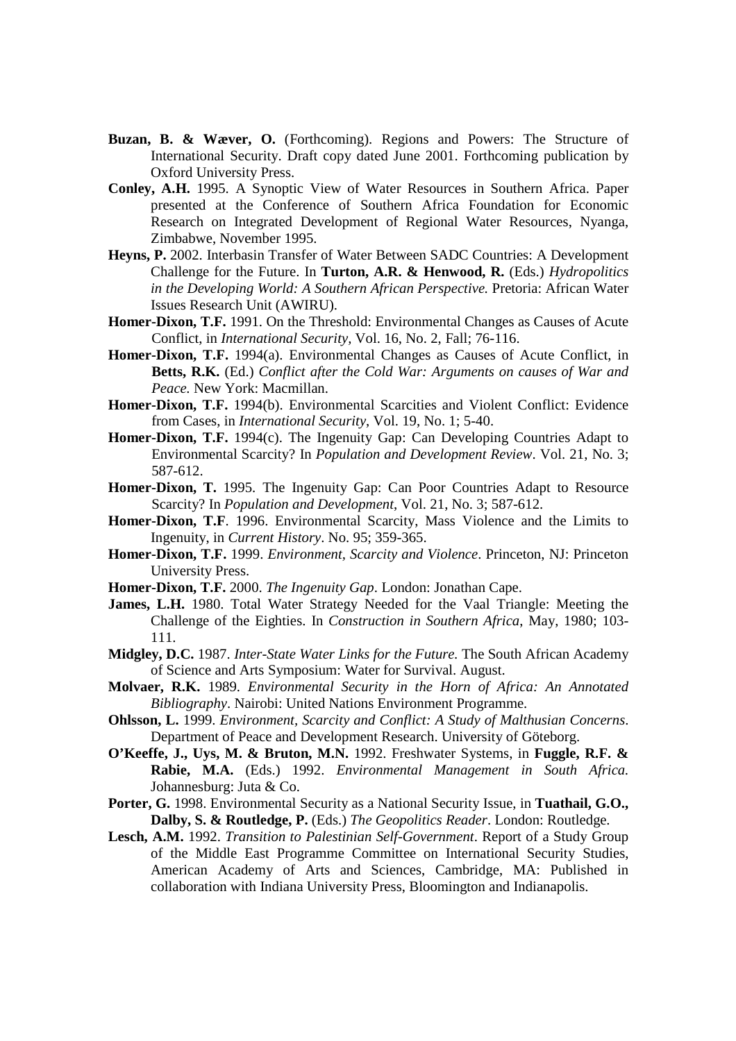- **Buzan, B. & Wæver, O.** (Forthcoming). Regions and Powers: The Structure of International Security. Draft copy dated June 2001. Forthcoming publication by Oxford University Press.
- **Conley, A.H.** 1995. A Synoptic View of Water Resources in Southern Africa. Paper presented at the Conference of Southern Africa Foundation for Economic Research on Integrated Development of Regional Water Resources, Nyanga, Zimbabwe, November 1995.
- **Heyns, P.** 2002. Interbasin Transfer of Water Between SADC Countries: A Development Challenge for the Future. In **Turton, A.R. & Henwood, R.** (Eds.) *Hydropolitics in the Developing World: A Southern African Perspective.* Pretoria: African Water Issues Research Unit (AWIRU).
- **Homer-Dixon, T.F.** 1991. On the Threshold: Environmental Changes as Causes of Acute Conflict, in *International Security,* Vol. 16, No. 2, Fall; 76-116.
- **Homer-Dixon, T.F.** 1994(a). Environmental Changes as Causes of Acute Conflict, in **Betts, R.K.** (Ed.) *Conflict after the Cold War: Arguments on causes of War and Peace.* New York: Macmillan.
- **Homer-Dixon, T.F.** 1994(b). Environmental Scarcities and Violent Conflict: Evidence from Cases, in *International Security*, Vol. 19, No. 1; 5-40.
- **Homer-Dixon, T.F.** 1994(c). The Ingenuity Gap: Can Developing Countries Adapt to Environmental Scarcity? In *Population and Development Review*. Vol. 21, No. 3; 587-612.
- **Homer-Dixon, T.** 1995. The Ingenuity Gap: Can Poor Countries Adapt to Resource Scarcity? In *Population and Development*, Vol. 21, No. 3; 587-612.
- **Homer-Dixon, T.F**. 1996. Environmental Scarcity, Mass Violence and the Limits to Ingenuity, in *Current History*. No. 95; 359-365.
- **Homer-Dixon, T.F.** 1999. *Environment, Scarcity and Violence*. Princeton, NJ: Princeton University Press.
- **Homer-Dixon, T.F.** 2000. *The Ingenuity Gap*. London: Jonathan Cape.
- **James, L.H.** 1980. Total Water Strategy Needed for the Vaal Triangle: Meeting the Challenge of the Eighties. In *Construction in Southern Africa*, May, 1980; 103- 111.
- **Midgley, D.C.** 1987. *Inter-State Water Links for the Future.* The South African Academy of Science and Arts Symposium: Water for Survival. August.
- **Molvaer, R.K.** 1989. *Environmental Security in the Horn of Africa: An Annotated Bibliography*. Nairobi: United Nations Environment Programme.
- **Ohlsson, L.** 1999. *Environment, Scarcity and Conflict: A Study of Malthusian Concerns*. Department of Peace and Development Research. University of Göteborg.
- **O'Keeffe, J., Uys, M. & Bruton, M.N.** 1992. Freshwater Systems, in **Fuggle, R.F. & Rabie, M.A.** (Eds.) 1992. *Environmental Management in South Africa.*  Johannesburg: Juta & Co.
- **Porter, G.** 1998. Environmental Security as a National Security Issue, in **Tuathail, G.O., Dalby, S. & Routledge, P.** (Eds.) *The Geopolitics Reader*. London: Routledge.
- **Lesch, A.M.** 1992. *Transition to Palestinian Self-Government*. Report of a Study Group of the Middle East Programme Committee on International Security Studies, American Academy of Arts and Sciences, Cambridge, MA: Published in collaboration with Indiana University Press, Bloomington and Indianapolis.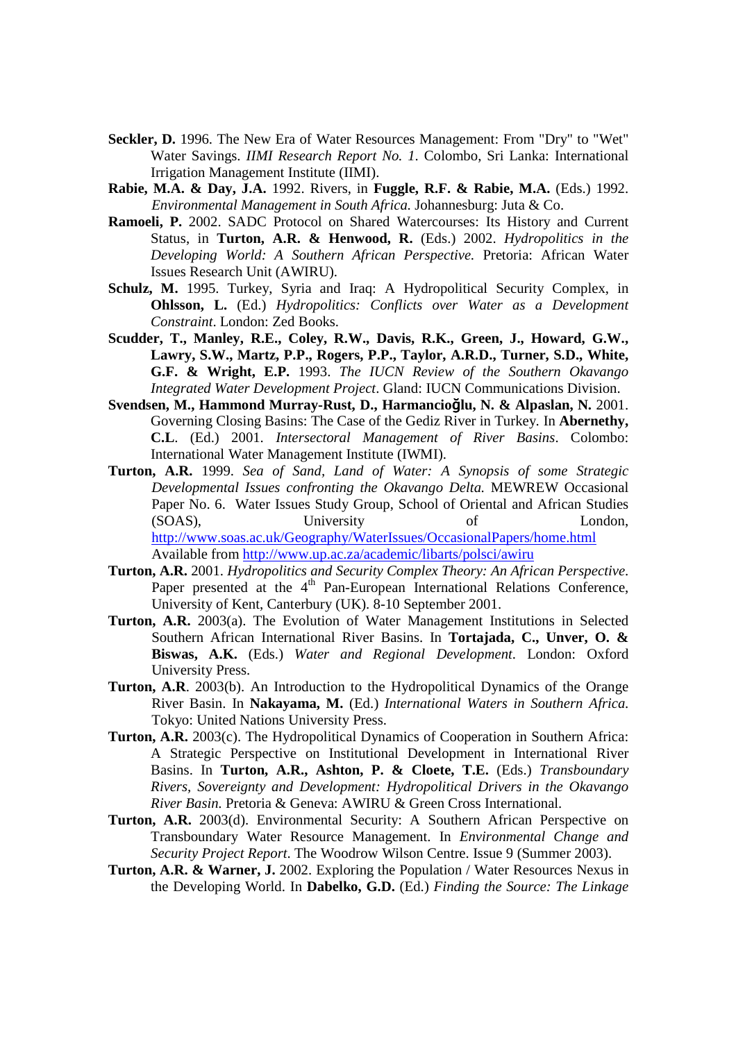- **Seckler, D.** 1996. The New Era of Water Resources Management: From "Dry" to "Wet" Water Savings. *IIMI Research Report No. 1*. Colombo, Sri Lanka: International Irrigation Management Institute (IIMI).
- **Rabie, M.A. & Day, J.A.** 1992. Rivers, in **Fuggle, R.F. & Rabie, M.A.** (Eds.) 1992. *Environmental Management in South Africa.* Johannesburg: Juta & Co.
- **Ramoeli, P.** 2002. SADC Protocol on Shared Watercourses: Its History and Current Status, in **Turton, A.R. & Henwood, R.** (Eds.) 2002. *Hydropolitics in the Developing World: A Southern African Perspective.* Pretoria: African Water Issues Research Unit (AWIRU).
- **Schulz, M.** 1995. Turkey, Syria and Iraq: A Hydropolitical Security Complex, in **Ohlsson, L.** (Ed.) *Hydropolitics: Conflicts over Water as a Development Constraint*. London: Zed Books.
- **Scudder, T., Manley, R.E., Coley, R.W., Davis, R.K., Green, J., Howard, G.W., Lawry, S.W., Martz, P.P., Rogers, P.P., Taylor, A.R.D., Turner, S.D., White, G.F. & Wright, E.P.** 1993. *The IUCN Review of the Southern Okavango Integrated Water Development Project*. Gland: IUCN Communications Division.
- **Svendsen, M., Hammond Murray-Rust, D., Harmancio**ğ**lu, N. & Alpaslan, N.** 2001. Governing Closing Basins: The Case of the Gediz River in Turkey*.* In **Abernethy, C.L**. (Ed.) 2001. *Intersectoral Management of River Basins*. Colombo: International Water Management Institute (IWMI).
- **Turton, A.R.** 1999. *Sea of Sand, Land of Water: A Synopsis of some Strategic Developmental Issues confronting the Okavango Delta.* MEWREW Occasional Paper No. 6. Water Issues Study Group, School of Oriental and African Studies (SOAS), University of London, http://www.soas.ac.uk/Geography/WaterIssues/OccasionalPapers/home.html Available from http://www.up.ac.za/academic/libarts/polsci/awiru
- **Turton, A.R.** 2001. *Hydropolitics and Security Complex Theory: An African Perspective*. Paper presented at the  $4<sup>th</sup>$  Pan-European International Relations Conference, University of Kent, Canterbury (UK). 8-10 September 2001.
- **Turton, A.R.** 2003(a). The Evolution of Water Management Institutions in Selected Southern African International River Basins. In **Tortajada, C., Unver, O. & Biswas, A.K.** (Eds.) *Water and Regional Development*. London: Oxford University Press.
- **Turton, A.R**. 2003(b). An Introduction to the Hydropolitical Dynamics of the Orange River Basin. In **Nakayama, M.** (Ed.) *International Waters in Southern Africa.* Tokyo: United Nations University Press.
- **Turton, A.R.** 2003(c). The Hydropolitical Dynamics of Cooperation in Southern Africa: A Strategic Perspective on Institutional Development in International River Basins. In **Turton, A.R., Ashton, P. & Cloete, T.E.** (Eds.) *Transboundary Rivers, Sovereignty and Development: Hydropolitical Drivers in the Okavango River Basin.* Pretoria & Geneva: AWIRU & Green Cross International.
- **Turton, A.R.** 2003(d). Environmental Security: A Southern African Perspective on Transboundary Water Resource Management. In *Environmental Change and Security Project Report*. The Woodrow Wilson Centre. Issue 9 (Summer 2003).
- **Turton, A.R. & Warner, J.** 2002. Exploring the Population / Water Resources Nexus in the Developing World. In **Dabelko, G.D.** (Ed.) *Finding the Source: The Linkage*